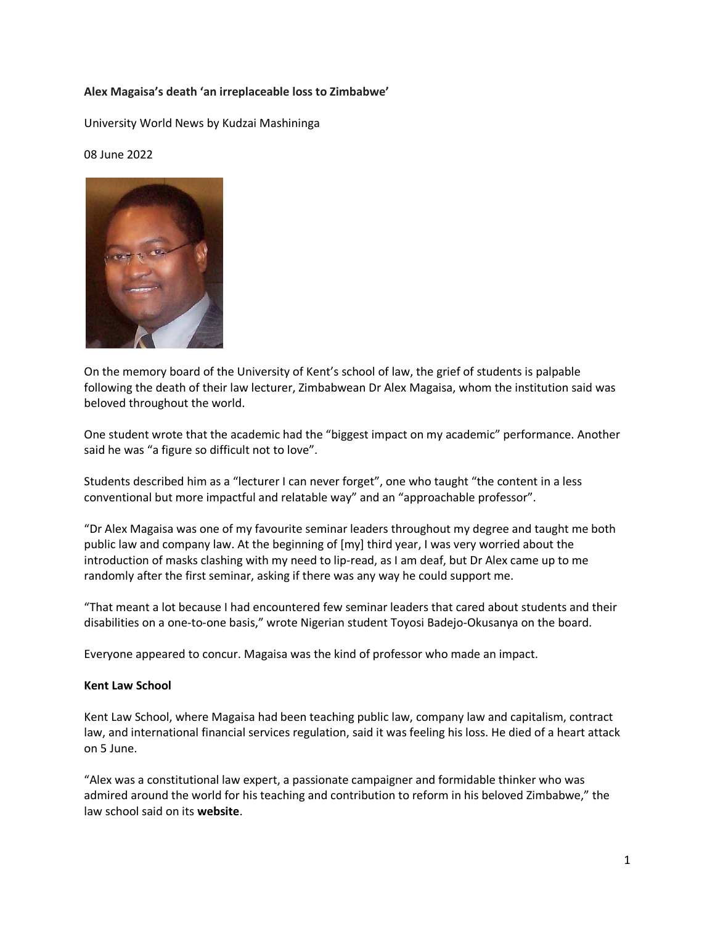## **Alex Magaisa's death 'an irreplaceable loss to Zimbabwe'**

University World News by [Kudzai Mashininga](https://www.universityworldnews.com/fullsearch.php?mode=search&writer=Kudzai+Mashininga) 

08 June 2022



On the memory [board](https://www.kudoboard.com/boards/dsP2TM8r) of the University of Kent's school of law, the grief of students is palpable following the death of their law lecturer, Zimbabwean Dr Alex Magaisa, whom the institution said was beloved throughout the world.

One student wrote that the academic had the "biggest impact on my academic" performance. Another said he was "a figure so difficult not to love".

Students described him as a "lecturer I can never forget", one who taught "the content in a less conventional but more impactful and relatable way" and an "approachable professor".

"Dr Alex Magaisa was one of my favourite seminar leaders throughout my degree and taught me both public law and company law. At the beginning of [my] third year, I was very worried about the introduction of masks clashing with my need to lip-read, as I am deaf, but Dr Alex came up to me randomly after the first seminar, asking if there was any way he could support me.

"That meant a lot because I had encountered few seminar leaders that cared about students and their disabilities on a one-to-one basis," wrote Nigerian student Toyosi Badejo-Okusanya on the board.

Everyone appeared to concur. Magaisa was the kind of professor who made an impact.

## **Kent Law School**

Kent Law School, where Magaisa had been teaching public law, company law and capitalism, contract law, and international financial services regulation, said it was feeling his loss. He died of a heart attack on 5 June.

"Alex was a constitutional law expert, a passionate campaigner and formidable thinker who was admired around the world for his teaching and contribution to reform in his beloved Zimbabwe," the law school said on its **[website](https://blogs.kent.ac.uk/law-news/kls-expresses-deep-sadness-of-the-death-of-dr-alex-magaisa)**.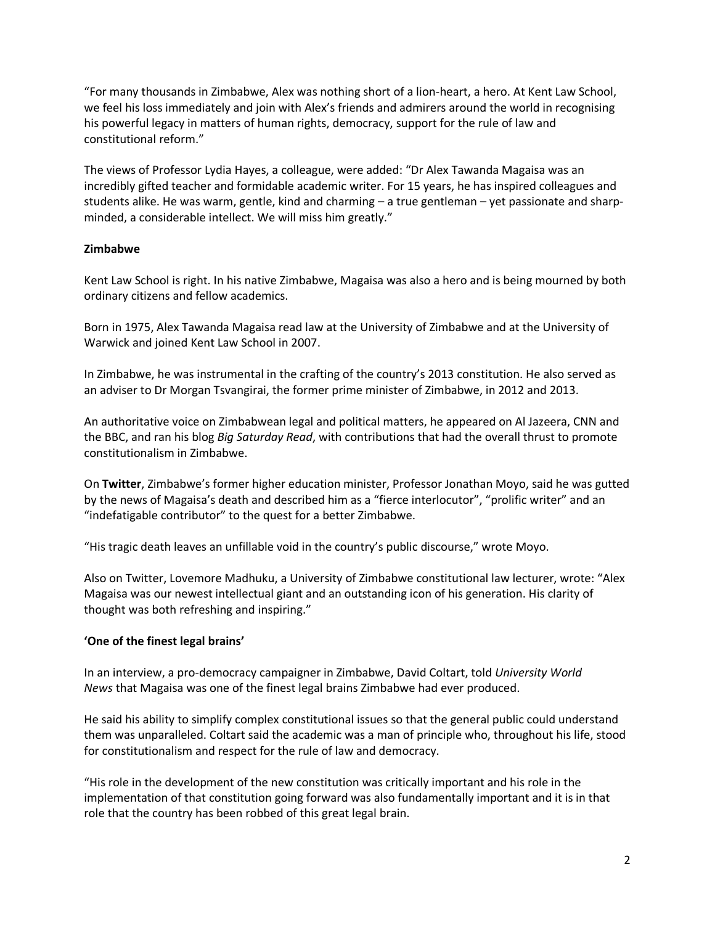"For many thousands in Zimbabwe, Alex was nothing short of a lion-heart, a hero. At Kent Law School, we feel his loss immediately and join with Alex's friends and admirers around the world in recognising his powerful legacy in matters of human rights, democracy, support for the rule of law and constitutional reform."

The views of Professor Lydia Hayes, a colleague, were added: "Dr Alex Tawanda Magaisa was an incredibly gifted teacher and formidable academic writer. For 15 years, he has inspired colleagues and students alike. He was warm, gentle, kind and charming – a true gentleman – yet passionate and sharpminded, a considerable intellect. We will miss him greatly."

## **Zimbabwe**

Kent Law School is right. In his native Zimbabwe, Magaisa was also a hero and is being mourned by both ordinary citizens and fellow academics.

Born in 1975, Alex Tawanda Magaisa read law at the University of Zimbabwe and at the University of Warwick and joined Kent Law School in 2007.

In Zimbabwe, he was instrumental in the crafting of the country's 2013 constitution. He also served as an adviser to Dr Morgan Tsvangirai, the former prime minister of Zimbabwe, in 2012 and 2013.

An authoritative voice on Zimbabwean legal and political matters, he appeared on Al Jazeera, CNN and the BBC, and ran his blog *Big Saturday Read*, with contributions that had the overall thrust to promote constitutionalism in Zimbabwe.

On **[Twitter](https://twitter.com/ProfJNMoyo/status/1533419583759056896)**, Zimbabwe's former higher education minister, Professor Jonathan Moyo, said he was gutted by the news of Magaisa's death and described him as a "fierce interlocutor", "prolific writer" and an "indefatigable contributor" to the quest for a better Zimbabwe.

"His tragic death leaves an unfillable void in the country's public discourse," wrote Moyo.

Also on Twitter, Lovemore Madhuku, a University of Zimbabwe constitutional law lecturer, wrote: "Alex Magaisa was our newest intellectual giant and an outstanding icon of his generation. His clarity of thought was both refreshing and inspiring."

## **'One of the finest legal brains'**

In an interview, a pro-democracy campaigner in Zimbabwe, David Coltart, told *University World News* that Magaisa was one of the finest legal brains Zimbabwe had ever produced.

He said his ability to simplify complex constitutional issues so that the general public could understand them was unparalleled. Coltart said the academic was a man of principle who, throughout his life, stood for constitutionalism and respect for the rule of law and democracy.

"His role in the development of the new constitution was critically important and his role in the implementation of that constitution going forward was also fundamentally important and it is in that role that the country has been robbed of this great legal brain.